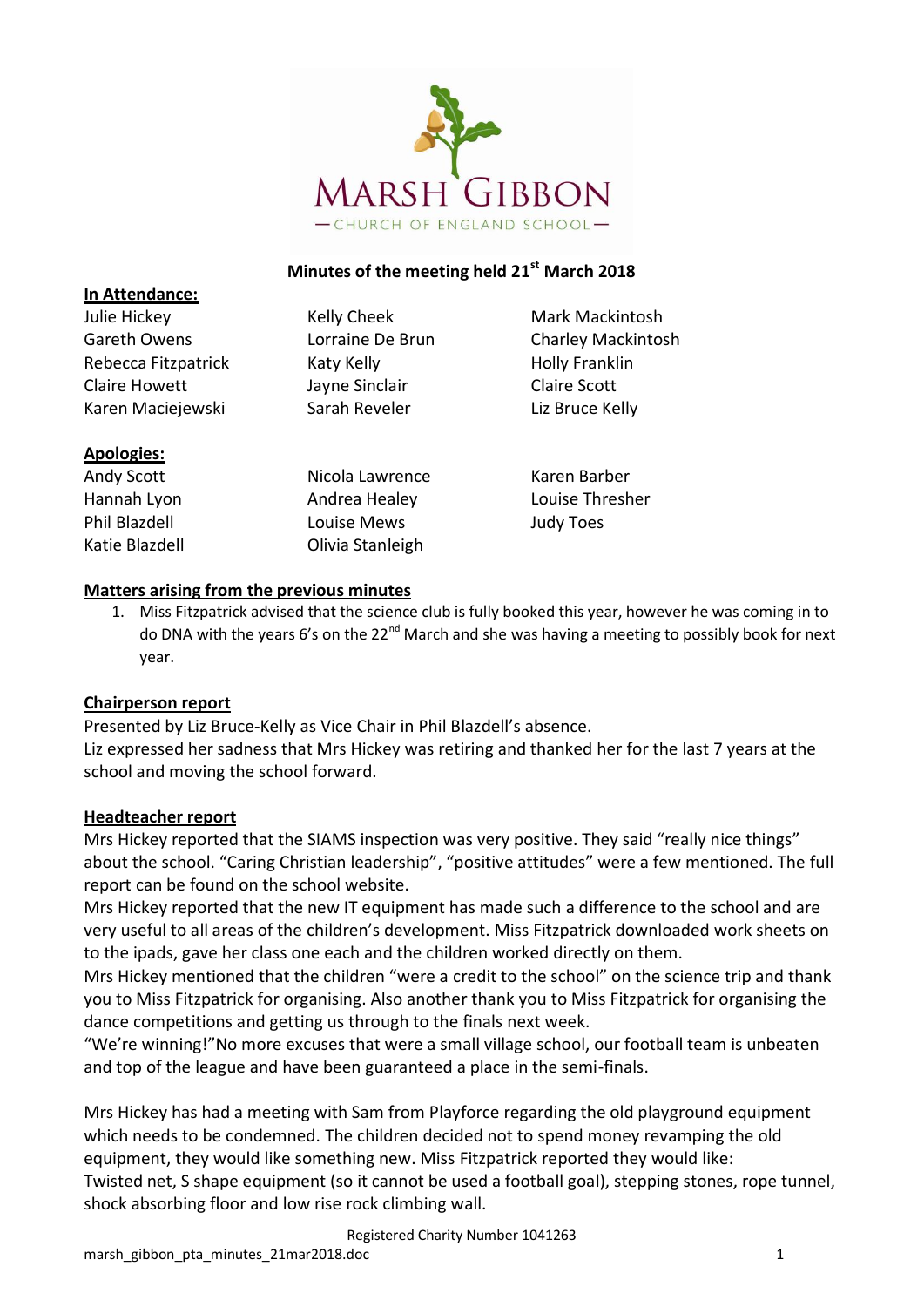

## **Minutes of the meeting held 21st March 2018**

| Julie Hickey        | Kelly Cheek      | Mark Mackintosh           |
|---------------------|------------------|---------------------------|
| Gareth Owens        | Lorraine De Brun | <b>Charley Mackintosh</b> |
| Rebecca Fitzpatrick | Katy Kelly       | <b>Holly Franklin</b>     |
| Claire Howett       | Jayne Sinclair   | <b>Claire Scott</b>       |
| Karen Maciejewski   | Sarah Reveler    | Liz Bruce Kelly           |
| <b>Apologies:</b>   |                  |                           |
| Andy Scott          | Nicola Lawrence  | Karen Barber              |
| Hannah Lyon         | Andrea Healey    | Louise Thresher           |
| Phil Blazdell       | Louise Mews      | <b>Judy Toes</b>          |

#### **Matters arising from the previous minutes**

Katie Blazdell **Charlot** Clivia Stanleigh

1. Miss Fitzpatrick advised that the science club is fully booked this year, however he was coming in to do DNA with the years 6's on the  $22^{nd}$  March and she was having a meeting to possibly book for next year.

#### **Chairperson report**

**In Attendance:**

Presented by Liz Bruce-Kelly as Vice Chair in Phil Blazdell's absence. Liz expressed her sadness that Mrs Hickey was retiring and thanked her for the last 7 years at the school and moving the school forward.

#### **Headteacher report**

Mrs Hickey reported that the SIAMS inspection was very positive. They said "really nice things" about the school. "Caring Christian leadership", "positive attitudes" were a few mentioned. The full report can be found on the school website.

Mrs Hickey reported that the new IT equipment has made such a difference to the school and are very useful to all areas of the children's development. Miss Fitzpatrick downloaded work sheets on to the ipads, gave her class one each and the children worked directly on them.

Mrs Hickey mentioned that the children "were a credit to the school" on the science trip and thank you to Miss Fitzpatrick for organising. Also another thank you to Miss Fitzpatrick for organising the dance competitions and getting us through to the finals next week.

"We're winning!"No more excuses that were a small village school, our football team is unbeaten and top of the league and have been guaranteed a place in the semi-finals.

Mrs Hickey has had a meeting with Sam from Playforce regarding the old playground equipment which needs to be condemned. The children decided not to spend money revamping the old equipment, they would like something new. Miss Fitzpatrick reported they would like: Twisted net, S shape equipment (so it cannot be used a football goal), stepping stones, rope tunnel, shock absorbing floor and low rise rock climbing wall.

Registered Charity Number 1041263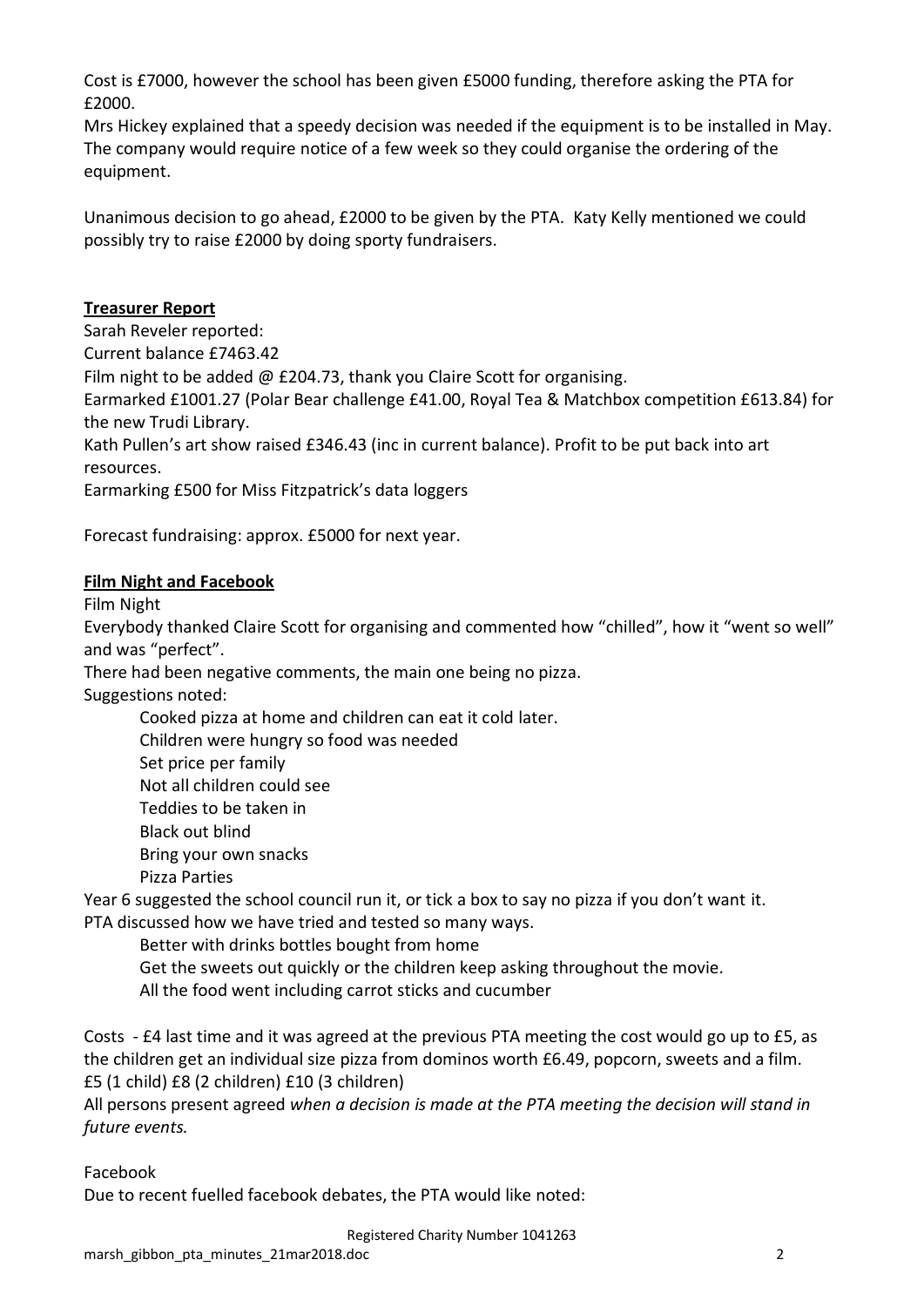Cost is £7000, however the school has been given £5000 funding, therefore asking the PTA for £2000.

Mrs Hickey explained that a speedy decision was needed if the equipment is to be installed in May. The company would require notice of a few week so they could organise the ordering of the equipment.

Unanimous decision to go ahead, £2000 to be given by the PTA. Katy Kelly mentioned we could possibly try to raise £2000 by doing sporty fundraisers.

## **Treasurer Report**

Sarah Reveler reported:

Current balance £7463.42

Film night to be added @ £204.73, thank you Claire Scott for organising.

Earmarked £1001.27 (Polar Bear challenge £41.00, Royal Tea & Matchbox competition £613.84) for the new Trudi Library.

Kath Pullen's art show raised £346.43 (inc in current balance). Profit to be put back into art resources.

Earmarking £500 for Miss Fitzpatrick's data loggers

Forecast fundraising: approx. £5000 for next year.

### **Film Night and Facebook**

Film Night

Everybody thanked Claire Scott for organising and commented how "chilled", how it "went so well" and was "perfect".

There had been negative comments, the main one being no pizza.

Suggestions noted:

Cooked pizza at home and children can eat it cold later.

Children were hungry so food was needed

Set price per family

Not all children could see

Teddies to be taken in

Black out blind

Bring your own snacks

Pizza Parties

Year 6 suggested the school council run it, or tick a box to say no pizza if you don't want it.

PTA discussed how we have tried and tested so many ways.

Better with drinks bottles bought from home

Get the sweets out quickly or the children keep asking throughout the movie.

All the food went including carrot sticks and cucumber

Costs - £4 last time and it was agreed at the previous PTA meeting the cost would go up to £5, as the children get an individual size pizza from dominos worth £6.49, popcorn, sweets and a film. £5 (1 child) £8 (2 children) £10 (3 children)

All persons present agreed *when a decision is made at the PTA meeting the decision will stand in future events.* 

Facebook

Due to recent fuelled facebook debates, the PTA would like noted: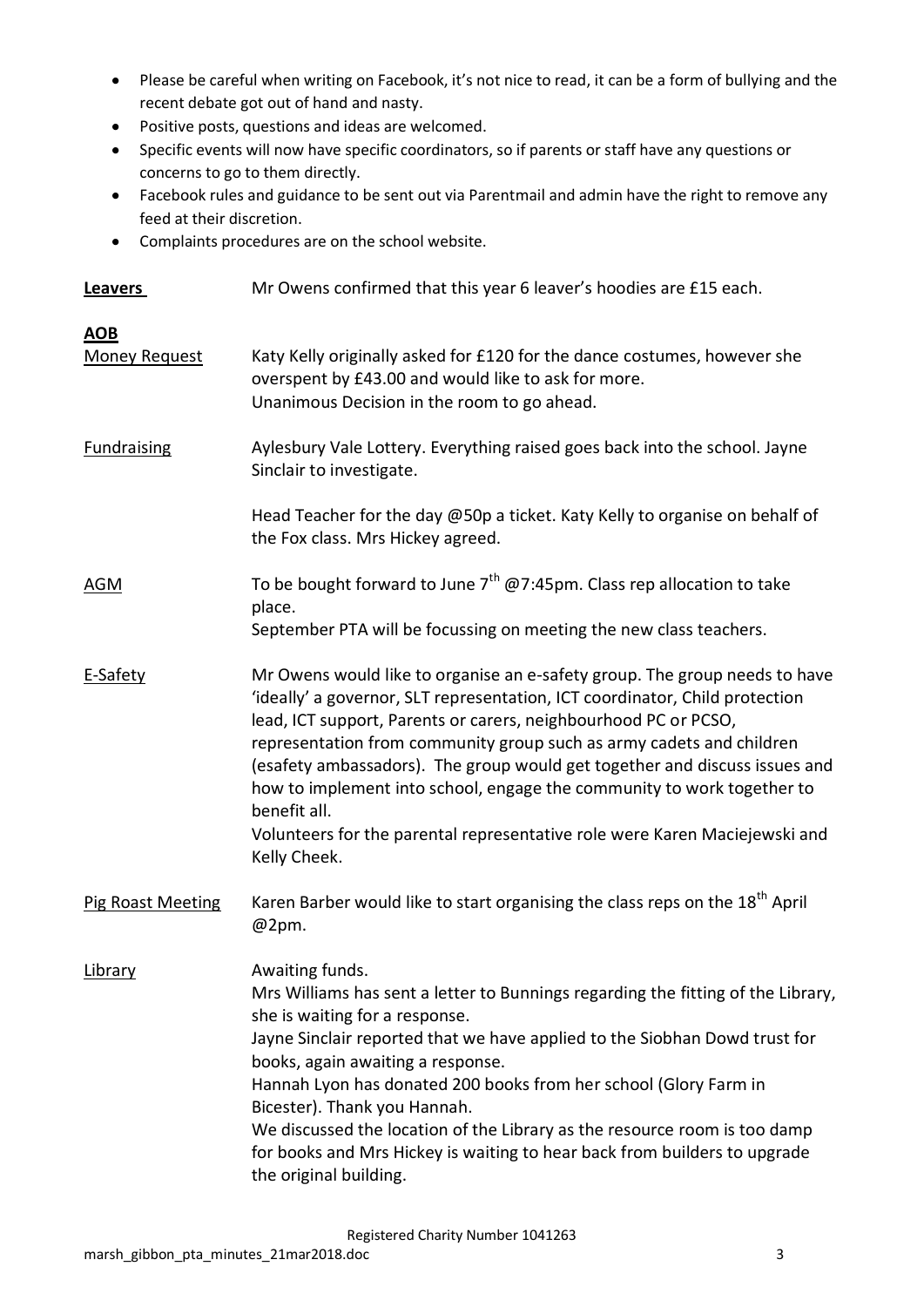- Please be careful when writing on Facebook, it's not nice to read, it can be a form of bullying and the recent debate got out of hand and nasty.
- Positive posts, questions and ideas are welcomed.
- Specific events will now have specific coordinators, so if parents or staff have any questions or concerns to go to them directly.
- Facebook rules and guidance to be sent out via Parentmail and admin have the right to remove any feed at their discretion.
- Complaints procedures are on the school website.

| <b>Leavers</b>                     | Mr Owens confirmed that this year 6 leaver's hoodies are £15 each.                                                                                                                                                                                                                                                                                                                                                                                                                                                                                                         |
|------------------------------------|----------------------------------------------------------------------------------------------------------------------------------------------------------------------------------------------------------------------------------------------------------------------------------------------------------------------------------------------------------------------------------------------------------------------------------------------------------------------------------------------------------------------------------------------------------------------------|
| <b>AOB</b><br><b>Money Request</b> | Katy Kelly originally asked for £120 for the dance costumes, however she<br>overspent by £43.00 and would like to ask for more.<br>Unanimous Decision in the room to go ahead.                                                                                                                                                                                                                                                                                                                                                                                             |
| <b>Fundraising</b>                 | Aylesbury Vale Lottery. Everything raised goes back into the school. Jayne<br>Sinclair to investigate.                                                                                                                                                                                                                                                                                                                                                                                                                                                                     |
|                                    | Head Teacher for the day @50p a ticket. Katy Kelly to organise on behalf of<br>the Fox class. Mrs Hickey agreed.                                                                                                                                                                                                                                                                                                                                                                                                                                                           |
| AGM                                | To be bought forward to June $7^{th}$ @7:45pm. Class rep allocation to take<br>place.<br>September PTA will be focussing on meeting the new class teachers.                                                                                                                                                                                                                                                                                                                                                                                                                |
| E-Safety                           | Mr Owens would like to organise an e-safety group. The group needs to have<br>'ideally' a governor, SLT representation, ICT coordinator, Child protection<br>lead, ICT support, Parents or carers, neighbourhood PC or PCSO,<br>representation from community group such as army cadets and children<br>(esafety ambassadors). The group would get together and discuss issues and<br>how to implement into school, engage the community to work together to<br>benefit all.<br>Volunteers for the parental representative role were Karen Maciejewski and<br>Kelly Cheek. |
| Pig Roast Meeting                  | Karen Barber would like to start organising the class reps on the 18 <sup>th</sup> April<br>@2pm.                                                                                                                                                                                                                                                                                                                                                                                                                                                                          |
| Library                            | Awaiting funds.<br>Mrs Williams has sent a letter to Bunnings regarding the fitting of the Library,<br>she is waiting for a response.<br>Jayne Sinclair reported that we have applied to the Siobhan Dowd trust for<br>books, again awaiting a response.<br>Hannah Lyon has donated 200 books from her school (Glory Farm in<br>Bicester). Thank you Hannah.<br>We discussed the location of the Library as the resource room is too damp<br>for books and Mrs Hickey is waiting to hear back from builders to upgrade<br>the original building.                           |